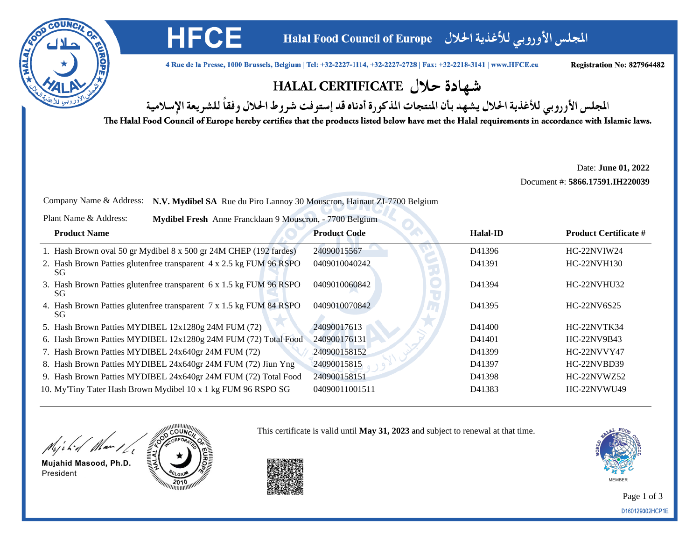

المجلس الأوروبي للأغذية الحلال Halal Food Council of Europe

4 Rue de la Presse, 1000 Brussels, Belgium | Tel: +32-2227-1114, +32-2227-2728 | Fax: +32-2218-3141 | www.HFCE.eu

Registration No: 827964482

## شهادة حلال HALAL CERTIFICATE

المجلس الأوروبي للأغذية الحلال يشهد بأن المنتجات المذكورة أدناه قد إستوفت شروط الحلال وفقاً للشريعة الإسلامية

The Halal Food Council of Europe hereby certifies that the products listed below have met the Halal requirements in accordance with Islamic laws.

Date: **June 01, 2022**Document #: **5866.17591.IH220039**

Company Name & Address: **N.V. Mydibel SA** Rue du Piro Lannoy 30 Mouscron, Hainaut ZI-7700 Belgium

| Plant Name & Address: |  | Mydibel Fresh Anne Francklaan 9 Mouscron, - 7700 Belgium |  |
|-----------------------|--|----------------------------------------------------------|--|
|-----------------------|--|----------------------------------------------------------|--|

**HFCE** 

| <b>Product Name</b>                                                        | <b>Product Code</b> | <b>Halal-ID</b> | <b>Product Certificate #</b> |
|----------------------------------------------------------------------------|---------------------|-----------------|------------------------------|
| 1. Hash Brown oval 50 gr Mydibel 8 x 500 gr 24M CHEP (192 fardes)          | 24090015567         | D41396          | HC-22NVIW24                  |
| 2. Hash Brown Patties glutenfree transparent 4 x 2.5 kg FUM 96 RSPO<br>SG. | 0409010040242       | D41391          | <b>HC-22NVH130</b>           |
| 3. Hash Brown Patties glutenfree transparent 6 x 1.5 kg FUM 96 RSPO<br>SG. | 0409010060842       | D41394          | HC-22NVHU32                  |
| 4. Hash Brown Patties glutenfree transparent 7 x 1.5 kg FUM 84 RSPO<br>SG. | 0409010070842       | D41395          | HC-22NV6S25                  |
| 5. Hash Brown Patties MYDIBEL 12x1280g 24M FUM (72)                        | 24090017613         | D41400          | HC-22NVTK34                  |
| 6. Hash Brown Patties MYDIBEL 12x1280g 24M FUM (72) Total Food             | 240900176131        | D41401          | HC-22NV9B43                  |
| 7. Hash Brown Patties MYDIBEL 24x640gr 24M FUM (72)                        | 240900158152        | D41399          | HC-22NVVY47                  |
| 8. Hash Brown Patties MYDIBEL 24x640gr 24M FUM (72) Jiun Yng               | 24090015815         | D41397          | HC-22NVBD39                  |
| 9. Hash Brown Patties MYDIBEL 24x640gr 24M FUM (72) Total Food             | 240900158151        | D41398          | HC-22NVWZ52                  |
| 10. My'Tiny Tater Hash Brown Mydibel 10 x 1 kg FUM 96 RSPO SG              | 04090011001511      | D41383          | HC-22NVWU49                  |

Might Man 16

Mujahid Masood, Ph.D. President



This certificate is valid until **May 31, 2023** and subject to renewal at that time.



Page 1 of 3D160129302HCP1E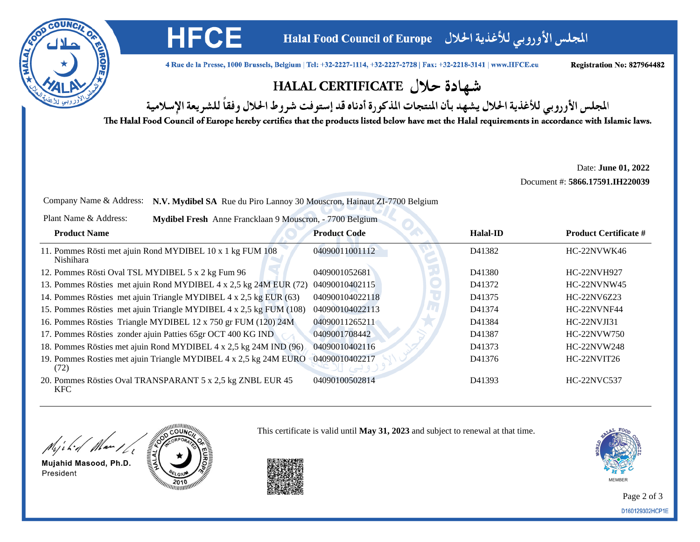

المجلس الأوروبي للأغذية الحلال Halal Food Council of Europe

4 Rue de la Presse, 1000 Brussels, Belgium | Tel: +32-2227-1114, +32-2227-2728 | Fax: +32-2218-3141 | www.HFCE.eu

Registration No: 827964482

## شهادة حلال HALAL CERTIFICATE

المجلس الأوروبي للأغذية الحلال يشهد بأن المنتجات المذكورة أدناه قد إستوفت شروط الحلال وفقاً للشريعة الإسلامية

The Halal Food Council of Europe hereby certifies that the products listed below have met the Halal requirements in accordance with Islamic laws.

Date: **June 01, 2022**Document #: **5866.17591.IH220039**

Company Name & Address: **N.V. Mydibel SA** Rue du Piro Lannoy 30 Mouscron, Hainaut ZI-7700 Belgium

Plant Name & Address:**Mydibel Fresh** Anne Francklaan 9 Mouscron, - 7700 Belgium

**HFCE** 

| <b>Product Name</b>                                                           | <b>Product Code</b> | <b>Halal-ID</b> | <b>Product Certificate #</b> |
|-------------------------------------------------------------------------------|---------------------|-----------------|------------------------------|
| 11. Pommes Rösti met ajuin Rond MYDIBEL 10 x 1 kg FUM 108<br><b>Nishihara</b> | 04090011001112      | D41382          | HC-22NVWK46                  |
| 12. Pommes Rösti Oval TSL MYDIBEL 5 x 2 kg Fum 96                             | 0409001052681       | D41380          | <b>HC-22NVH927</b>           |
| 13. Pommes Rösties met ajuin Rond MYDIBEL 4 x 2,5 kg 24M EUR (72)             | 04090010402115      | D41372          | HC-22NVNW45                  |
| 14. Pommes Rösties met ajuin Triangle MYDIBEL 4 x 2,5 kg EUR (63)             | 040900104022118     | D41375          | HC-22NV6Z23                  |
| 15. Pommes Rösties met ajuin Triangle MYDIBEL 4 x 2,5 kg FUM (108)            | 040900104022113     | D41374          | HC-22NVNF44                  |
| 16. Pommes Rösties Triangle MYDIBEL 12 x 750 gr FUM (120) 24M                 | 04090011265211      | D41384          | $HC-22NVJI31$                |
| 17. Pommes Rösties zonder ajuin Patties 65gr OCT 400 KG IND                   | 0409001708442       | D41387          | HC-22NVW750                  |
| 18. Pommes Rösties met ajuin Rond MYDIBEL 4 x 2,5 kg 24M IND (96)             | 04090010402116      | D41373          | <b>HC-22NVW248</b>           |
| 19. Pommes Rosties met ajuin Triangle MYDIBEL 4 x 2,5 kg 24M EURO<br>(72)     | 04090010402217      | D41376          | HC-22NVIT26                  |
| 20. Pommes Rösties Oval TRANSPARANT 5 x 2,5 kg ZNBL EUR 45<br><b>KFC</b>      | 04090100502814      | D41393          | <b>HC-22NVC537</b>           |

Might Man 16

Mujahid Masood, Ph.D. President



This certificate is valid until **May 31, 2023** and subject to renewal at that time.



Page 2 of 3D160129302HCP1E